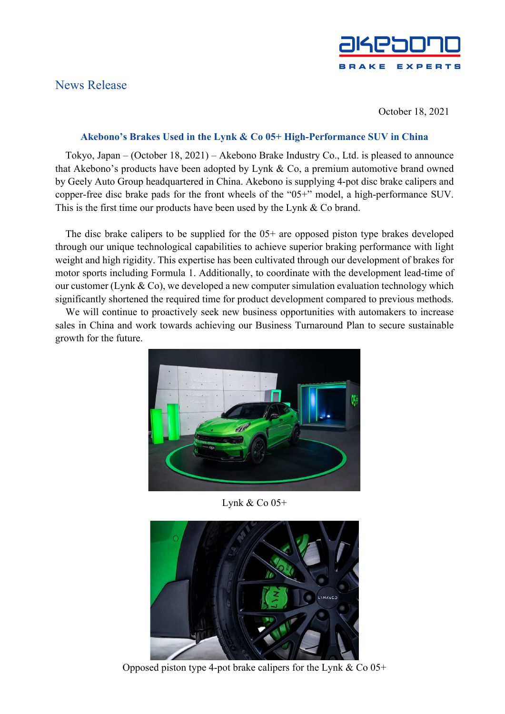## News Release



October 18, 2021

## **Akebono's Brakes Used in the Lynk & Co 05+ High-Performance SUV in China**

Tokyo, Japan – (October 18, 2021) – Akebono Brake Industry Co., Ltd. is pleased to announce that Akebono's products have been adopted by Lynk & Co, a premium automotive brand owned by Geely Auto Group headquartered in China. Akebono is supplying 4-pot disc brake calipers and copper-free disc brake pads for the front wheels of the "05+" model, a high-performance SUV. This is the first time our products have been used by the Lynk & Co brand.

The disc brake calipers to be supplied for the 05+ are opposed piston type brakes developed through our unique technological capabilities to achieve superior braking performance with light weight and high rigidity. This expertise has been cultivated through our development of brakes for motor sports including Formula 1. Additionally, to coordinate with the development lead-time of our customer (Lynk & Co), we developed a new computer simulation evaluation technology which significantly shortened the required time for product development compared to previous methods.

We will continue to proactively seek new business opportunities with automakers to increase sales in China and work towards achieving our Business Turnaround Plan to secure sustainable growth for the future.



Lynk & Co 05+



Opposed piston type 4-pot brake calipers for the Lynk  $& Co\ 05+$